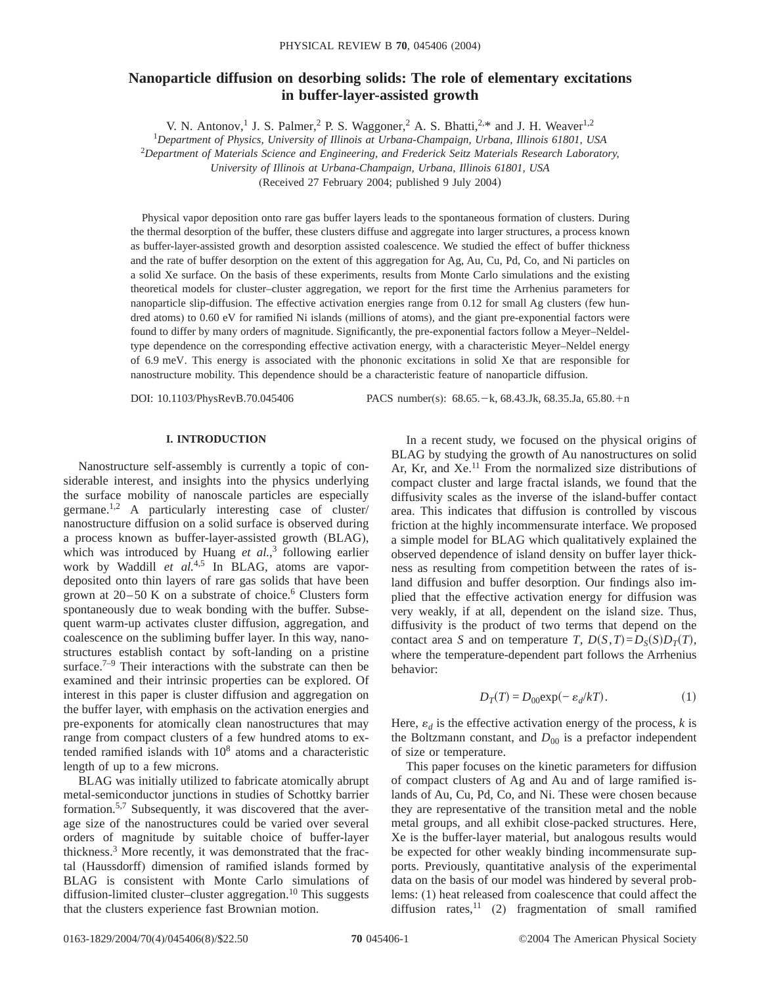# **Nanoparticle diffusion on desorbing solids: The role of elementary excitations in buffer-layer-assisted growth**

V. N. Antonov,<sup>1</sup> J. S. Palmer,<sup>2</sup> P. S. Waggoner,<sup>2</sup> A. S. Bhatti,<sup>2,\*</sup> and J. H. Weaver<sup>1,2</sup>

1 *Department of Physics, University of Illinois at Urbana-Champaign, Urbana, Illinois 61801, USA*

<sup>2</sup>*Department of Materials Science and Engineering, and Frederick Seitz Materials Research Laboratory,*

*University of Illinois at Urbana-Champaign, Urbana, Illinois 61801, USA*

(Received 27 February 2004; published 9 July 2004)

Physical vapor deposition onto rare gas buffer layers leads to the spontaneous formation of clusters. During the thermal desorption of the buffer, these clusters diffuse and aggregate into larger structures, a process known as buffer-layer-assisted growth and desorption assisted coalescence. We studied the effect of buffer thickness and the rate of buffer desorption on the extent of this aggregation for Ag, Au, Cu, Pd, Co, and Ni particles on a solid Xe surface. On the basis of these experiments, results from Monte Carlo simulations and the existing theoretical models for cluster–cluster aggregation, we report for the first time the Arrhenius parameters for nanoparticle slip-diffusion. The effective activation energies range from 0.12 for small Ag clusters (few hundred atoms) to 0.60 eV for ramified Ni islands (millions of atoms), and the giant pre-exponential factors were found to differ by many orders of magnitude. Significantly, the pre-exponential factors follow a Meyer–Neldeltype dependence on the corresponding effective activation energy, with a characteristic Meyer–Neldel energy of 6.9 meV. This energy is associated with the phononic excitations in solid Xe that are responsible for nanostructure mobility. This dependence should be a characteristic feature of nanoparticle diffusion.

DOI: 10.1103/PhysRevB.70.045406 PACS number(s): 68.65. - k, 68.43.Jk, 68.35.Ja, 65.80.+n

## **I. INTRODUCTION**

Nanostructure self-assembly is currently a topic of considerable interest, and insights into the physics underlying the surface mobility of nanoscale particles are especially germane.<sup>1,2</sup> A particularly interesting case of cluster/ nanostructure diffusion on a solid surface is observed during a process known as buffer-layer-assisted growth (BLAG), which was introduced by Huang *et al.*, <sup>3</sup> following earlier work by Waddill et al.<sup>4,5</sup> In BLAG, atoms are vapordeposited onto thin layers of rare gas solids that have been grown at  $20-50$  K on a substrate of choice.<sup>6</sup> Clusters form spontaneously due to weak bonding with the buffer. Subsequent warm-up activates cluster diffusion, aggregation, and coalescence on the subliming buffer layer. In this way, nanostructures establish contact by soft-landing on a pristine surface.<sup>7–9</sup> Their interactions with the substrate can then be examined and their intrinsic properties can be explored. Of interest in this paper is cluster diffusion and aggregation on the buffer layer, with emphasis on the activation energies and pre-exponents for atomically clean nanostructures that may range from compact clusters of a few hundred atoms to extended ramified islands with  $10<sup>8</sup>$  atoms and a characteristic length of up to a few microns.

BLAG was initially utilized to fabricate atomically abrupt metal-semiconductor junctions in studies of Schottky barrier formation.5,7 Subsequently, it was discovered that the average size of the nanostructures could be varied over several orders of magnitude by suitable choice of buffer-layer thickness.3 More recently, it was demonstrated that the fractal (Haussdorff) dimension of ramified islands formed by BLAG is consistent with Monte Carlo simulations of diffusion-limited cluster–cluster aggregation.<sup>10</sup> This suggests that the clusters experience fast Brownian motion.

In a recent study, we focused on the physical origins of BLAG by studying the growth of Au nanostructures on solid Ar, Kr, and Xe.<sup>11</sup> From the normalized size distributions of compact cluster and large fractal islands, we found that the diffusivity scales as the inverse of the island-buffer contact area. This indicates that diffusion is controlled by viscous friction at the highly incommensurate interface. We proposed a simple model for BLAG which qualitatively explained the observed dependence of island density on buffer layer thickness as resulting from competition between the rates of island diffusion and buffer desorption. Our findings also implied that the effective activation energy for diffusion was very weakly, if at all, dependent on the island size. Thus, diffusivity is the product of two terms that depend on the contact area *S* and on temperature *T*,  $D(S,T) = D_S(S)D_T(T)$ , where the temperature-dependent part follows the Arrhenius behavior:

$$
D_T(T) = D_{00} \exp(-\varepsilon_d / kT). \tag{1}
$$

Here,  $\varepsilon_d$  is the effective activation energy of the process,  $k$  is the Boltzmann constant, and  $D_{00}$  is a prefactor independent of size or temperature.

This paper focuses on the kinetic parameters for diffusion of compact clusters of Ag and Au and of large ramified islands of Au, Cu, Pd, Co, and Ni. These were chosen because they are representative of the transition metal and the noble metal groups, and all exhibit close-packed structures. Here, Xe is the buffer-layer material, but analogous results would be expected for other weakly binding incommensurate supports. Previously, quantitative analysis of the experimental data on the basis of our model was hindered by several problems: (1) heat released from coalescence that could affect the diffusion rates,  $11$  (2) fragmentation of small ramified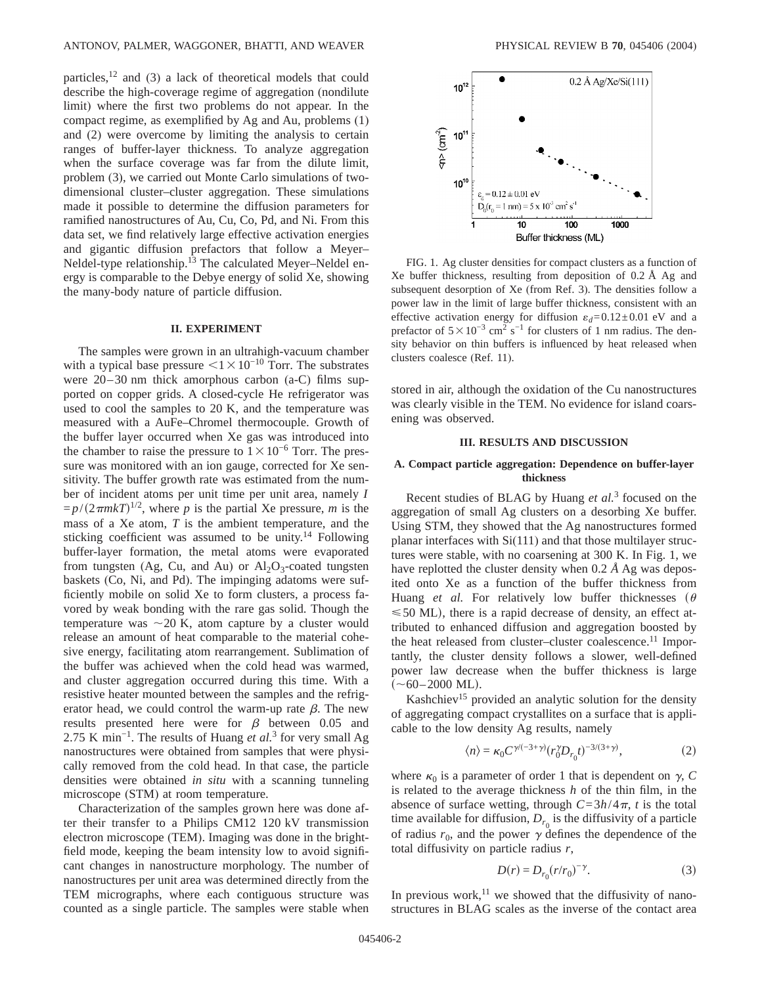particles,  $12$  and (3) a lack of theoretical models that could describe the high-coverage regime of aggregation (nondilute limit) where the first two problems do not appear. In the compact regime, as exemplified by Ag and Au, problems (1) and (2) were overcome by limiting the analysis to certain ranges of buffer-layer thickness. To analyze aggregation when the surface coverage was far from the dilute limit, problem (3), we carried out Monte Carlo simulations of twodimensional cluster–cluster aggregation. These simulations made it possible to determine the diffusion parameters for ramified nanostructures of Au, Cu, Co, Pd, and Ni. From this data set, we find relatively large effective activation energies and gigantic diffusion prefactors that follow a Meyer– Neldel-type relationship.<sup>13</sup> The calculated Meyer–Neldel energy is comparable to the Debye energy of solid Xe, showing the many-body nature of particle diffusion.

## **II. EXPERIMENT**

The samples were grown in an ultrahigh-vacuum chamber with a typical base pressure  $\leq$ 1 $\times$ 10<sup>-10</sup> Torr. The substrates were 20–30 nm thick amorphous carbon (a-C) films supported on copper grids. A closed-cycle He refrigerator was used to cool the samples to 20 K, and the temperature was measured with a AuFe–Chromel thermocouple. Growth of the buffer layer occurred when Xe gas was introduced into the chamber to raise the pressure to  $1\times10^{-6}$  Torr. The pressure was monitored with an ion gauge, corrected for Xe sensitivity. The buffer growth rate was estimated from the number of incident atoms per unit time per unit area, namely *I*  $=p/(2\pi mkT)^{1/2}$ , where *p* is the partial Xe pressure, *m* is the mass of a Xe atom, *T* is the ambient temperature, and the sticking coefficient was assumed to be unity.<sup>14</sup> Following buffer-layer formation, the metal atoms were evaporated from tungsten (Ag, Cu, and Au) or  $Al_2O_3$ -coated tungsten baskets (Co, Ni, and Pd). The impinging adatoms were sufficiently mobile on solid Xe to form clusters, a process favored by weak bonding with the rare gas solid. Though the temperature was  $\sim$  20 K, atom capture by a cluster would release an amount of heat comparable to the material cohesive energy, facilitating atom rearrangement. Sublimation of the buffer was achieved when the cold head was warmed, and cluster aggregation occurred during this time. With a resistive heater mounted between the samples and the refrigerator head, we could control the warm-up rate  $\beta$ . The new results presented here were for  $\beta$  between 0.05 and 2.75 K min−1. The results of Huang *et al.*<sup>3</sup> for very small Ag nanostructures were obtained from samples that were physically removed from the cold head. In that case, the particle densities were obtained *in situ* with a scanning tunneling microscope (STM) at room temperature.

Characterization of the samples grown here was done after their transfer to a Philips CM12 120 kV transmission electron microscope (TEM). Imaging was done in the brightfield mode, keeping the beam intensity low to avoid significant changes in nanostructure morphology. The number of nanostructures per unit area was determined directly from the TEM micrographs, where each contiguous structure was counted as a single particle. The samples were stable when



FIG. 1. Ag cluster densities for compact clusters as a function of Xe buffer thickness, resulting from deposition of 0.2 Å Ag and subsequent desorption of Xe (from Ref. 3). The densities follow a power law in the limit of large buffer thickness, consistent with an effective activation energy for diffusion  $\varepsilon_d = 0.12 \pm 0.01$  eV and a prefactor of  $5 \times 10^{-3}$  cm<sup>2</sup> s<sup>-1</sup> for clusters of 1 nm radius. The density behavior on thin buffers is influenced by heat released when clusters coalesce (Ref. 11).

stored in air, although the oxidation of the Cu nanostructures was clearly visible in the TEM. No evidence for island coarsening was observed.

#### **III. RESULTS AND DISCUSSION**

## **A. Compact particle aggregation: Dependence on buffer-layer thickness**

Recent studies of BLAG by Huang *et al.*<sup>3</sup> focused on the aggregation of small Ag clusters on a desorbing Xe buffer. Using STM, they showed that the Ag nanostructures formed planar interfaces with Si(111) and that those multilayer structures were stable, with no coarsening at 300 K. In Fig. 1, we have replotted the cluster density when 0.2 *Å* Ag was deposited onto Xe as a function of the buffer thickness from Huang *et al.* For relatively low buffer thicknesses  $(\theta$  $\leq 50$  ML), there is a rapid decrease of density, an effect attributed to enhanced diffusion and aggregation boosted by the heat released from cluster-cluster coalescence.<sup>11</sup> Importantly, the cluster density follows a slower, well-defined power law decrease when the buffer thickness is large  $(\sim 60 - 2000$  ML).

Kashchiev<sup>15</sup> provided an analytic solution for the density of aggregating compact crystallites on a surface that is applicable to the low density Ag results, namely

$$
\langle n \rangle = \kappa_0 C^{\gamma/(-3+\gamma)} (r_0^{\gamma} D_{r_0} t)^{-3/(3+\gamma)}, \tag{2}
$$

where  $\kappa_0$  is a parameter of order 1 that is dependent on  $\gamma$ , *C* is related to the average thickness *h* of the thin film, in the absence of surface wetting, through  $C = 3h/4\pi$ , *t* is the total time available for diffusion,  $D_{r_0}$  is the diffusivity of a particle of radius  $r_0$ , and the power  $\gamma$  defines the dependence of the total diffusivity on particle radius *r*,

$$
D(r) = D_{r_0}(r/r_0)^{-\gamma}.
$$
 (3)

In previous work, $^{11}$  we showed that the diffusivity of nanostructures in BLAG scales as the inverse of the contact area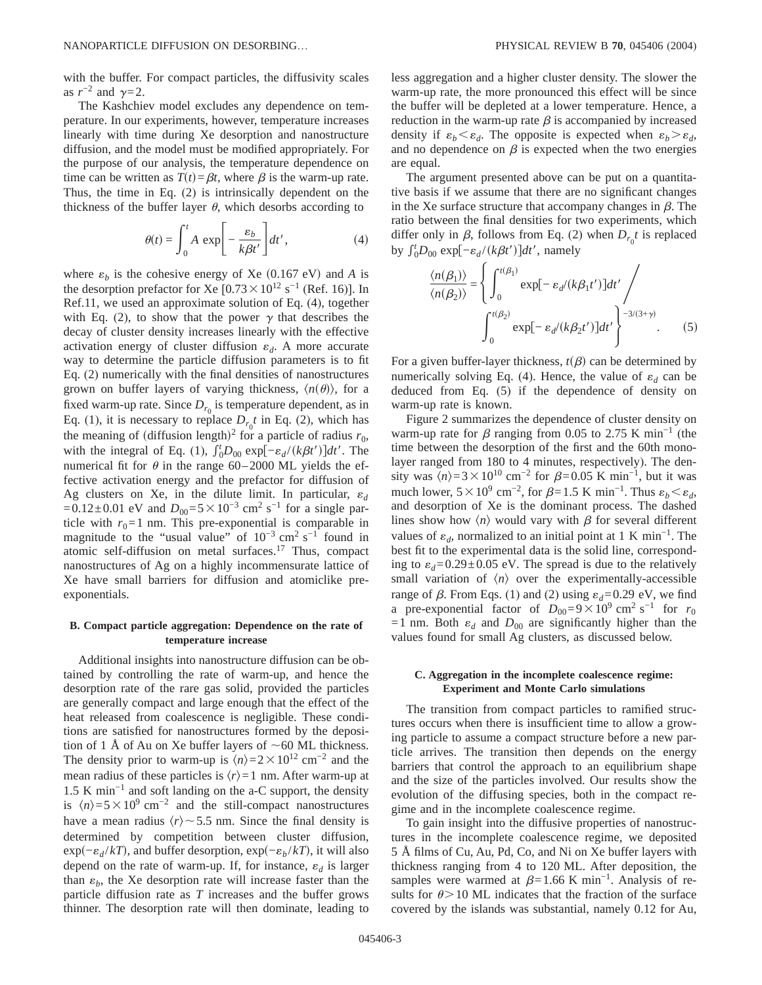with the buffer. For compact particles, the diffusivity scales as  $r^{-2}$  and  $\gamma = 2$ .

The Kashchiev model excludes any dependence on temperature. In our experiments, however, temperature increases linearly with time during Xe desorption and nanostructure diffusion, and the model must be modified appropriately. For the purpose of our analysis, the temperature dependence on time can be written as  $T(t) = \beta t$ , where  $\beta$  is the warm-up rate. Thus, the time in Eq. (2) is intrinsically dependent on the thickness of the buffer layer  $\theta$ , which desorbs according to

$$
\theta(t) = \int_0^t A \, \exp\bigg[-\frac{\varepsilon_b}{k\beta t'}\bigg] dt',\tag{4}
$$

where  $\varepsilon_b$  is the cohesive energy of Xe (0.167 eV) and *A* is the desorption prefactor for Xe  $[0.73 \times 10^{12} \text{ s}^{-1}$  (Ref. 16)]. In Ref.11, we used an approximate solution of Eq. (4), together with Eq. (2), to show that the power  $\gamma$  that describes the decay of cluster density increases linearly with the effective activation energy of cluster diffusion  $\varepsilon_d$ . A more accurate way to determine the particle diffusion parameters is to fit Eq. (2) numerically with the final densities of nanostructures grown on buffer layers of varying thickness,  $\langle n(\theta) \rangle$ , for a fixed warm-up rate. Since  $D_{r_0}$  is temperature dependent, as in Eq. (1), it is necessary to replace  $D_{r_0}t$  in Eq. (2), which has the meaning of (diffusion length)<sup>2</sup> for a particle of radius  $r_0$ , with the integral of Eq. (1),  $\int_0^t D_{00} \exp[-\varepsilon_d/(k\beta t')]dt'$ . The numerical fit for  $\theta$  in the range 60–2000 ML yields the effective activation energy and the prefactor for diffusion of Ag clusters on Xe, in the dilute limit. In particular,  $\varepsilon_d$ =0.12±0.01 eV and  $D_{00}=5\times10^{-3}$  cm<sup>2</sup> s<sup>-1</sup> for a single particle with  $r_0=1$  nm. This pre-exponential is comparable in magnitude to the "usual value" of  $10^{-3}$  cm<sup>2</sup> s<sup>-1</sup> found in atomic self-diffusion on metal surfaces.17 Thus, compact nanostructures of Ag on a highly incommensurate lattice of Xe have small barriers for diffusion and atomiclike preexponentials.

## **B. Compact particle aggregation: Dependence on the rate of temperature increase**

Additional insights into nanostructure diffusion can be obtained by controlling the rate of warm-up, and hence the desorption rate of the rare gas solid, provided the particles are generally compact and large enough that the effect of the heat released from coalescence is negligible. These conditions are satisfied for nanostructures formed by the deposition of 1 Å of Au on Xe buffer layers of  $\sim$  60 ML thickness. The density prior to warm-up is  $\langle n \rangle = 2 \times 10^{12}$  cm<sup>-2</sup> and the mean radius of these particles is  $\langle r \rangle = 1$  nm. After warm-up at 1.5 K min−1 and soft landing on the a-C support, the density is  $\langle n \rangle$ =5×10<sup>9</sup> cm<sup>-2</sup> and the still-compact nanostructures have a mean radius  $\langle r \rangle \sim 5.5$  nm. Since the final density is determined by competition between cluster diffusion,  $\exp(-\varepsilon_d / kT)$ , and buffer desorption,  $\exp(-\varepsilon_b / kT)$ , it will also depend on the rate of warm-up. If, for instance,  $\varepsilon_d$  is larger than  $\varepsilon_b$ , the Xe desorption rate will increase faster than the particle diffusion rate as *T* increases and the buffer grows thinner. The desorption rate will then dominate, leading to less aggregation and a higher cluster density. The slower the warm-up rate, the more pronounced this effect will be since the buffer will be depleted at a lower temperature. Hence, a reduction in the warm-up rate  $\beta$  is accompanied by increased density if  $\varepsilon_b < \varepsilon_d$ . The opposite is expected when  $\varepsilon_b > \varepsilon_d$ , and no dependence on  $\beta$  is expected when the two energies are equal.

The argument presented above can be put on a quantitative basis if we assume that there are no significant changes in the Xe surface structure that accompany changes in  $\beta$ . The ratio between the final densities for two experiments, which differ only in  $\beta$ , follows from Eq. (2) when  $D_{r_0}t$  is replaced by  $\int_0^t D_{00} \exp[-\varepsilon_d/(k\beta t')]dt'$ , namely

$$
\frac{\langle n(\beta_1) \rangle}{\langle n(\beta_2) \rangle} = \left\{ \int_0^{t(\beta_1)} \exp[-\varepsilon_d/(k\beta_1 t')]dt' / \left(\frac{\langle n(\beta_1) \rangle}{\langle n(\beta_2) \rangle} - \frac{\langle n(\beta_2) \rangle}{\langle n(\beta_2) \rangle}\right) \exp[-\varepsilon_d/(k\beta_2 t')]dt' \right\}^{-3/(3+\gamma)}.
$$
 (5)

For a given buffer-layer thickness,  $t(\beta)$  can be determined by numerically solving Eq. (4). Hence, the value of  $\varepsilon_d$  can be deduced from Eq. (5) if the dependence of density on warm-up rate is known.

Figure 2 summarizes the dependence of cluster density on warm-up rate for  $\beta$  ranging from 0.05 to 2.75 K min<sup>-1</sup> (the time between the desorption of the first and the 60th monolayer ranged from 180 to 4 minutes, respectively). The density was  $\overline{\langle n \rangle}$ =3×10<sup>10</sup> cm<sup>-2</sup> for  $\beta$ =0.05 K min<sup>-1</sup>, but it was much lower,  $5 \times 10^9$  cm<sup>-2</sup>, for  $\beta$ =1.5 K min<sup>-1</sup>. Thus  $\varepsilon_b < \varepsilon_d$ , and desorption of Xe is the dominant process. The dashed lines show how  $\langle n \rangle$  would vary with  $\beta$  for several different values of  $\varepsilon_d$ , normalized to an initial point at 1 K min<sup>-1</sup>. The best fit to the experimental data is the solid line, corresponding to  $\varepsilon_d = 0.29 \pm 0.05$  eV. The spread is due to the relatively small variation of  $\langle n \rangle$  over the experimentally-accessible range of  $\beta$ . From Eqs. (1) and (2) using  $\varepsilon_d$ =0.29 eV, we find a pre-exponential factor of  $D_{00}=9\times10^9$  cm<sup>2</sup> s<sup>-1</sup> for  $r_0$ =1 nm. Both  $\varepsilon_d$  and  $D_{00}$  are significantly higher than the values found for small Ag clusters, as discussed below.

## **C. Aggregation in the incomplete coalescence regime: Experiment and Monte Carlo simulations**

The transition from compact particles to ramified structures occurs when there is insufficient time to allow a growing particle to assume a compact structure before a new particle arrives. The transition then depends on the energy barriers that control the approach to an equilibrium shape and the size of the particles involved. Our results show the evolution of the diffusing species, both in the compact regime and in the incomplete coalescence regime.

To gain insight into the diffusive properties of nanostructures in the incomplete coalescence regime, we deposited 5 Å films of Cu, Au, Pd, Co, and Ni on Xe buffer layers with thickness ranging from 4 to 120 ML. After deposition, the samples were warmed at  $\beta$ =1.66 K min<sup>-1</sup>. Analysis of results for  $\theta > 10$  ML indicates that the fraction of the surface covered by the islands was substantial, namely 0.12 for Au,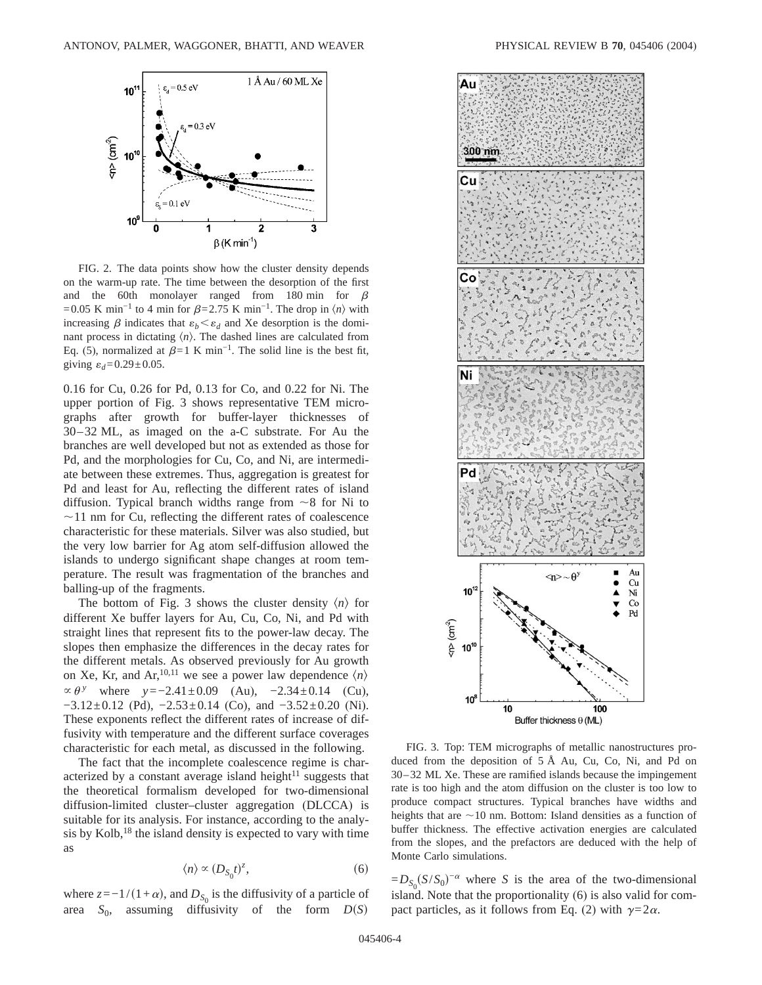

FIG. 2. The data points show how the cluster density depends on the warm-up rate. The time between the desorption of the first and the 60th monolayer ranged from 180 min for  $\beta$ =0.05 K min<sup>-1</sup> to 4 min for  $\beta$ =2.75 K min<sup>-1</sup>. The drop in  $\langle n \rangle$  with increasing  $\beta$  indicates that  $\varepsilon_b < \varepsilon_d$  and Xe desorption is the dominant process in dictating  $\langle n \rangle$ . The dashed lines are calculated from Eq. (5), normalized at  $\beta=1$  K min<sup>-1</sup>. The solid line is the best fit, giving  $\varepsilon_d$ =0.29±0.05.

0.16 for Cu, 0.26 for Pd, 0.13 for Co, and 0.22 for Ni. The upper portion of Fig. 3 shows representative TEM micrographs after growth for buffer-layer thicknesses of 30–32 ML, as imaged on the a-C substrate. For Au the branches are well developed but not as extended as those for Pd, and the morphologies for Cu, Co, and Ni, are intermediate between these extremes. Thus, aggregation is greatest for Pd and least for Au, reflecting the different rates of island diffusion. Typical branch widths range from  $\sim$ 8 for Ni to  $\sim$ 11 nm for Cu, reflecting the different rates of coalescence characteristic for these materials. Silver was also studied, but the very low barrier for Ag atom self-diffusion allowed the islands to undergo significant shape changes at room temperature. The result was fragmentation of the branches and balling-up of the fragments.

The bottom of Fig. 3 shows the cluster density  $\langle n \rangle$  for different Xe buffer layers for Au, Cu, Co, Ni, and Pd with straight lines that represent fits to the power-law decay. The slopes then emphasize the differences in the decay rates for the different metals. As observed previously for Au growth on Xe, Kr, and Ar, <sup>10,11</sup> we see a power law dependence  $\langle n \rangle$  $\propto \theta$ <sup>*y*</sup> where  $y = -2.41 \pm 0.09$  (Au),  $-2.34 \pm 0.14$  (Cu),  $-3.12\pm0.12$  (Pd),  $-2.53\pm0.14$  (Co), and  $-3.52\pm0.20$  (Ni). These exponents reflect the different rates of increase of diffusivity with temperature and the different surface coverages characteristic for each metal, as discussed in the following.

The fact that the incomplete coalescence regime is characterized by a constant average island height $11$  suggests that the theoretical formalism developed for two-dimensional diffusion-limited cluster–cluster aggregation (DLCCA) is suitable for its analysis. For instance, according to the analysis by Kolb, $^{18}$  the island density is expected to vary with time as

$$
\langle n \rangle \propto (D_{S_0}t)^z,\tag{6}
$$

where  $z=-1/(1+\alpha)$ , and  $D_{S_0}$  is the diffusivity of a particle of area  $S_0$ , assuming diffusivity of the form  $D(S)$ 



FIG. 3. Top: TEM micrographs of metallic nanostructures produced from the deposition of 5 Å Au, Cu, Co, Ni, and Pd on 30–32 ML Xe. These are ramified islands because the impingement rate is too high and the atom diffusion on the cluster is too low to produce compact structures. Typical branches have widths and heights that are  $\sim$  10 nm. Bottom: Island densities as a function of buffer thickness. The effective activation energies are calculated from the slopes, and the prefactors are deduced with the help of Monte Carlo simulations.

 $=D_{S_0}(S/S_0)^{-\alpha}$  where *S* is the area of the two-dimensional island. Note that the proportionality (6) is also valid for compact particles, as it follows from Eq. (2) with  $\gamma = 2\alpha$ .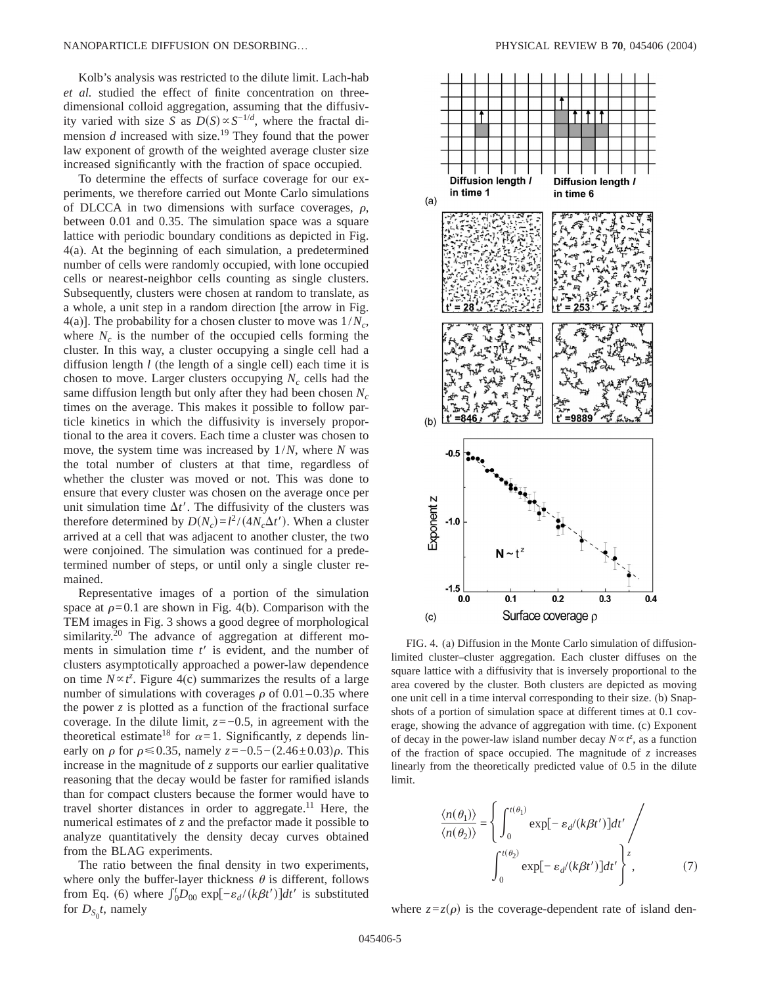Kolb's analysis was restricted to the dilute limit. Lach-hab *et al.* studied the effect of finite concentration on threedimensional colloid aggregation, assuming that the diffusivity varied with size *S* as  $D(S) \propto S^{-1/d}$ , where the fractal dimension  $d$  increased with size.<sup>19</sup> They found that the power law exponent of growth of the weighted average cluster size increased significantly with the fraction of space occupied.

To determine the effects of surface coverage for our experiments, we therefore carried out Monte Carlo simulations of DLCCA in two dimensions with surface coverages,  $\rho$ , between 0.01 and 0.35. The simulation space was a square lattice with periodic boundary conditions as depicted in Fig. 4(a). At the beginning of each simulation, a predetermined number of cells were randomly occupied, with lone occupied cells or nearest-neighbor cells counting as single clusters. Subsequently, clusters were chosen at random to translate, as a whole, a unit step in a random direction [the arrow in Fig. 4(a)]. The probability for a chosen cluster to move was  $1/N_c$ , where  $N_c$  is the number of the occupied cells forming the cluster. In this way, a cluster occupying a single cell had a diffusion length *l* (the length of a single cell) each time it is chosen to move. Larger clusters occupying  $N_c$  cells had the same diffusion length but only after they had been chosen N<sub>c</sub> times on the average. This makes it possible to follow particle kinetics in which the diffusivity is inversely proportional to the area it covers. Each time a cluster was chosen to move, the system time was increased by 1/*N*, where *N* was the total number of clusters at that time, regardless of whether the cluster was moved or not. This was done to ensure that every cluster was chosen on the average once per unit simulation time  $\Delta t'$ . The diffusivity of the clusters was therefore determined by  $D(N_c) = l^2 / (4N_c\Delta t')$ . When a cluster arrived at a cell that was adjacent to another cluster, the two were conjoined. The simulation was continued for a predetermined number of steps, or until only a single cluster remained.

Representative images of a portion of the simulation space at  $\rho$ =0.1 are shown in Fig. 4(b). Comparison with the TEM images in Fig. 3 shows a good degree of morphological similarity.<sup>20</sup> The advance of aggregation at different moments in simulation time  $t'$  is evident, and the number of clusters asymptotically approached a power-law dependence on time  $N \propto t^z$ . Figure 4(c) summarizes the results of a large number of simulations with coverages  $\rho$  of 0.01–0.35 where the power *z* is plotted as a function of the fractional surface coverage. In the dilute limit, *z*=−0.5, in agreement with the theoretical estimate<sup>18</sup> for  $\alpha = 1$ . Significantly, *z* depends linearly on  $\rho$  for  $\rho \le 0.35$ , namely *z*=−0.5−(2.46±0.03) $\rho$ . This increase in the magnitude of *z* supports our earlier qualitative reasoning that the decay would be faster for ramified islands than for compact clusters because the former would have to travel shorter distances in order to aggregate.<sup>11</sup> Here, the numerical estimates of *z* and the prefactor made it possible to analyze quantitatively the density decay curves obtained from the BLAG experiments.

The ratio between the final density in two experiments, where only the buffer-layer thickness  $\theta$  is different, follows from Eq. (6) where  $\int_0^t D_{00} \exp[-\varepsilon_d/(k\beta t')]dt'$  is substituted for  $D_{S_0}t$ , namely



FIG. 4. (a) Diffusion in the Monte Carlo simulation of diffusionlimited cluster–cluster aggregation. Each cluster diffuses on the square lattice with a diffusivity that is inversely proportional to the area covered by the cluster. Both clusters are depicted as moving one unit cell in a time interval corresponding to their size. (b) Snapshots of a portion of simulation space at different times at 0.1 coverage, showing the advance of aggregation with time. (c) Exponent of decay in the power-law island number decay  $N \propto t^z$ , as a function of the fraction of space occupied. The magnitude of *z* increases linearly from the theoretically predicted value of 0.5 in the dilute limit.

$$
\frac{\langle n(\theta_1) \rangle}{\langle n(\theta_2) \rangle} = \left\{ \int_0^{t(\theta_1)} \exp[-\varepsilon_{d'}(k\beta t')]dt' / \int_0^{t(\theta_2)} \exp[-\varepsilon_{d'}(k\beta t')]dt' \right\}^z, \tag{7}
$$

where  $z = z(\rho)$  is the coverage-dependent rate of island den-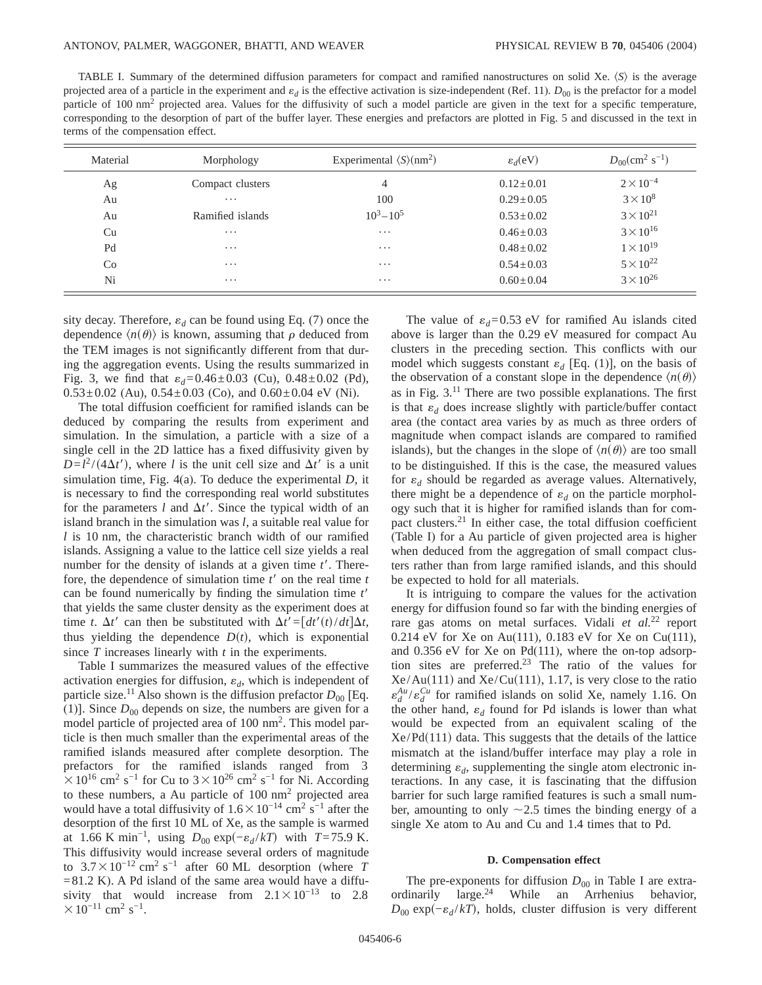TABLE I. Summary of the determined diffusion parameters for compact and ramified nanostructures on solid Xe.  $\langle S \rangle$  is the average projected area of a particle in the experiment and  $\varepsilon_d$  is the effective activation is size-independent (Ref. 11).  $D_{00}$  is the prefactor for a model particle of 100 nm<sup>2</sup> projected area. Values for the diffusivity of such a model particle are given in the text for a specific temperature, corresponding to the desorption of part of the buffer layer. These energies and prefactors are plotted in Fig. 5 and discussed in the text in terms of the compensation effect.

| Material | Morphology       | Experimental $\langle S \rangle$ (nm <sup>2</sup> ) | $\varepsilon_d$ (eV) | $D_{00}$ (cm <sup>2</sup> s <sup>-1</sup> ) |
|----------|------------------|-----------------------------------------------------|----------------------|---------------------------------------------|
| Ag       | Compact clusters | 4                                                   | $0.12 \pm 0.01$      | $2 \times 10^{-4}$                          |
| Au       | $\cdots$         | 100                                                 | $0.29 \pm 0.05$      | $3 \times 10^8$                             |
| Au       | Ramified islands | $10^3 - 10^5$                                       | $0.53 \pm 0.02$      | $3 \times 10^{21}$                          |
| Cu       | $\cdots$         | $\cdots$                                            | $0.46 \pm 0.03$      | $3 \times 10^{16}$                          |
| Pd       | $\cdots$         | $\cdots$                                            | $0.48 \pm 0.02$      | $1 \times 10^{19}$                          |
| Co       | $\cdots$         | $\cdots$                                            | $0.54 \pm 0.03$      | $5 \times 10^{22}$                          |
| Ni       | $\cdots$         | $\cdots$                                            | $0.60 \pm 0.04$      | $3 \times 10^{26}$                          |

sity decay. Therefore,  $\varepsilon_d$  can be found using Eq. (7) once the dependence  $\langle n(\theta) \rangle$  is known, assuming that  $\rho$  deduced from the TEM images is not significantly different from that during the aggregation events. Using the results summarized in Fig. 3, we find that  $\varepsilon_d = 0.46 \pm 0.03$  (Cu),  $0.48 \pm 0.02$  (Pd),  $0.53\pm0.02$  (Au),  $0.54\pm0.03$  (Co), and  $0.60\pm0.04$  eV (Ni).

The total diffusion coefficient for ramified islands can be deduced by comparing the results from experiment and simulation. In the simulation, a particle with a size of a single cell in the 2D lattice has a fixed diffusivity given by  $D=l^2/(4\Delta t')$ , where *l* is the unit cell size and  $\Delta t'$  is a unit simulation time, Fig. 4(a). To deduce the experimental *D*, it is necessary to find the corresponding real world substitutes for the parameters *l* and  $\Delta t'$ . Since the typical width of an island branch in the simulation was *l*, a suitable real value for *l* is 10 nm, the characteristic branch width of our ramified islands. Assigning a value to the lattice cell size yields a real number for the density of islands at a given time  $t'$ . Therefore, the dependence of simulation time  $t'$  on the real time  $t$ can be found numerically by finding the simulation time *t'* that yields the same cluster density as the experiment does at time *t*.  $\Delta t'$  can then be substituted with  $\Delta t' = [dt'(t)/dt]\Delta t$ , thus yielding the dependence  $D(t)$ , which is exponential since *T* increases linearly with *t* in the experiments.

Table I summarizes the measured values of the effective activation energies for diffusion,  $\varepsilon_d$ , which is independent of particle size.<sup>11</sup> Also shown is the diffusion prefactor  $D_{00}$  [Eq. (1)]. Since  $D_{00}$  depends on size, the numbers are given for a model particle of projected area of 100 nm<sup>2</sup>. This model particle is then much smaller than the experimental areas of the ramified islands measured after complete desorption. The prefactors for the ramified islands ranged from 3  $\times 10^{16}$  cm<sup>2</sup> s<sup>-1</sup> for Cu to 3 × 10<sup>26</sup> cm<sup>2</sup> s<sup>-1</sup> for Ni. According to these numbers, a Au particle of  $100 \text{ nm}^2$  projected area would have a total diffusivity of  $1.6\times10^{-14}$  cm<sup>2</sup> s<sup>-1</sup> after the desorption of the first 10 ML of Xe, as the sample is warmed at 1.66 K min<sup>-1</sup>, using  $D_{00} \exp(-\varepsilon_d / kT)$  with *T*=75.9 K. This diffusivity would increase several orders of magnitude to  $3.7 \times 10^{-12}$  cm<sup>2</sup> s<sup>-1</sup> after 60 ML desorption (where *T*  $=81.2$  K). A Pd island of the same area would have a diffusivity that would increase from  $2.1 \times 10^{-13}$  to 2.8  $\times 10^{-11}$  cm<sup>2</sup> s<sup>-1</sup>.

The value of  $\varepsilon_d = 0.53$  eV for ramified Au islands cited above is larger than the 0.29 eV measured for compact Au clusters in the preceding section. This conflicts with our model which suggests constant  $\varepsilon_d$  [Eq. (1)], on the basis of the observation of a constant slope in the dependence  $\langle n(\theta) \rangle$ as in Fig. 3.11 There are two possible explanations. The first is that  $\varepsilon_d$  does increase slightly with particle/buffer contact area (the contact area varies by as much as three orders of magnitude when compact islands are compared to ramified islands), but the changes in the slope of  $\langle n(\theta) \rangle$  are too small to be distinguished. If this is the case, the measured values for  $\varepsilon_d$  should be regarded as average values. Alternatively, there might be a dependence of  $\varepsilon_d$  on the particle morphology such that it is higher for ramified islands than for compact clusters.21 In either case, the total diffusion coefficient (Table I) for a Au particle of given projected area is higher when deduced from the aggregation of small compact clusters rather than from large ramified islands, and this should be expected to hold for all materials.

It is intriguing to compare the values for the activation energy for diffusion found so far with the binding energies of rare gas atoms on metal surfaces. Vidali *et al.*<sup>22</sup> report 0.214 eV for Xe on Au(111), 0.183 eV for Xe on Cu(111), and 0.356 eV for Xe on Pd(111), where the on-top adsorption sites are preferred.<sup>23</sup> The ratio of the values for  $Xe/Au(111)$  and  $Xe/Cu(111)$ , 1.17, is very close to the ratio  $\varepsilon_d^{Au}/\varepsilon_d^{Cu}$  for ramified islands on solid Xe, namely 1.16. On the other hand,  $\varepsilon_d$  found for Pd islands is lower than what would be expected from an equivalent scaling of the  $Xe/Pd(111)$  data. This suggests that the details of the lattice mismatch at the island/buffer interface may play a role in determining  $\varepsilon_d$ , supplementing the single atom electronic interactions. In any case, it is fascinating that the diffusion barrier for such large ramified features is such a small number, amounting to only  $\sim$ 2.5 times the binding energy of a single Xe atom to Au and Cu and 1.4 times that to Pd.

#### **D. Compensation effect**

The pre-exponents for diffusion  $D_{00}$  in Table I are extraordinarily large.<sup>24</sup> While an Arrhenius behavior,  $D_{00}$  exp $(-\varepsilon_d / kT)$ , holds, cluster diffusion is very different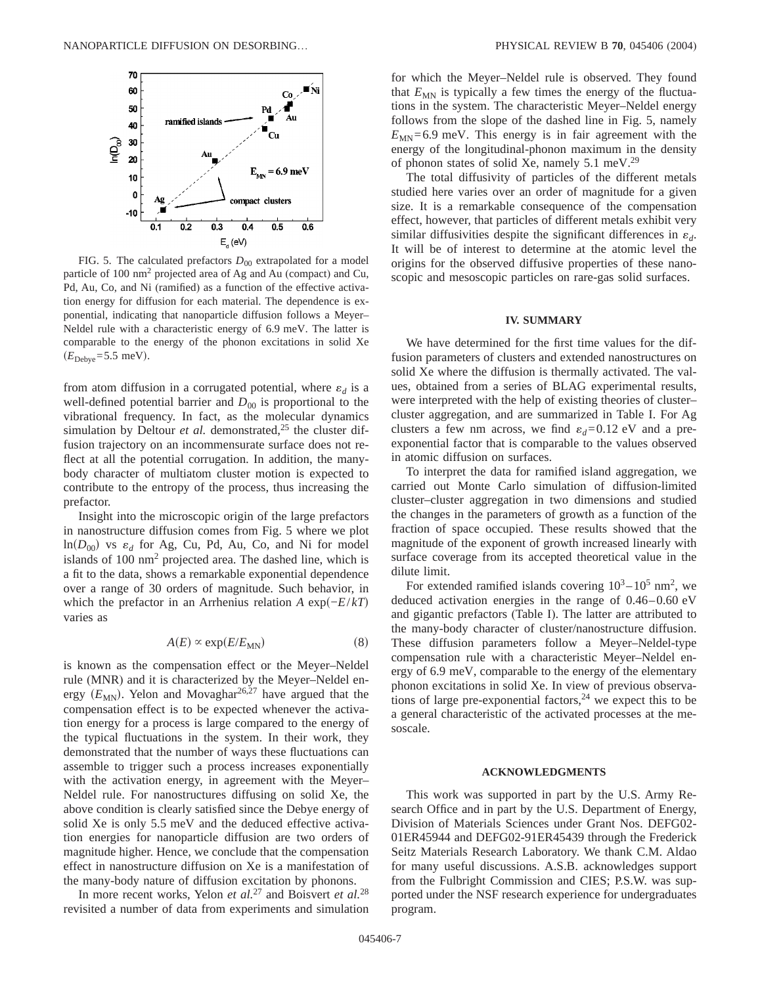

FIG. 5. The calculated prefactors  $D_{00}$  extrapolated for a model particle of 100 nm2 projected area of Ag and Au (compact) and Cu, Pd, Au, Co, and Ni (ramified) as a function of the effective activation energy for diffusion for each material. The dependence is exponential, indicating that nanoparticle diffusion follows a Meyer– Neldel rule with a characteristic energy of 6.9 meV. The latter is comparable to the energy of the phonon excitations in solid Xe  $(E_{\text{Debye}}=5.5 \text{ meV}).$ 

from atom diffusion in a corrugated potential, where  $\varepsilon_d$  is a well-defined potential barrier and  $D_{00}$  is proportional to the vibrational frequency. In fact, as the molecular dynamics simulation by Deltour *et al.* demonstrated,<sup>25</sup> the cluster diffusion trajectory on an incommensurate surface does not reflect at all the potential corrugation. In addition, the manybody character of multiatom cluster motion is expected to contribute to the entropy of the process, thus increasing the prefactor.

Insight into the microscopic origin of the large prefactors in nanostructure diffusion comes from Fig. 5 where we plot  $ln(D_{00})$  vs  $\varepsilon_d$  for Ag, Cu, Pd, Au, Co, and Ni for model islands of  $100 \text{ nm}^2$  projected area. The dashed line, which is a fit to the data, shows a remarkable exponential dependence over a range of 30 orders of magnitude. Such behavior, in which the prefactor in an Arrhenius relation *A* exp $(-E/kT)$ varies as

$$
A(E) \propto \exp(E/E_{MN})
$$
 (8)

is known as the compensation effect or the Meyer–Neldel rule (MNR) and it is characterized by the Meyer–Neldel energy  $(E_{MN})$ . Yelon and Movaghar<sup>26,27</sup> have argued that the compensation effect is to be expected whenever the activation energy for a process is large compared to the energy of the typical fluctuations in the system. In their work, they demonstrated that the number of ways these fluctuations can assemble to trigger such a process increases exponentially with the activation energy, in agreement with the Meyer– Neldel rule. For nanostructures diffusing on solid Xe, the above condition is clearly satisfied since the Debye energy of solid Xe is only 5.5 meV and the deduced effective activation energies for nanoparticle diffusion are two orders of magnitude higher. Hence, we conclude that the compensation effect in nanostructure diffusion on Xe is a manifestation of the many-body nature of diffusion excitation by phonons.

In more recent works, Yelon *et al.*<sup>27</sup> and Boisvert *et al.*<sup>28</sup> revisited a number of data from experiments and simulation for which the Meyer–Neldel rule is observed. They found that  $E_{MN}$  is typically a few times the energy of the fluctuations in the system. The characteristic Meyer–Neldel energy follows from the slope of the dashed line in Fig. 5, namely  $E_{MN}=6.9$  meV. This energy is in fair agreement with the energy of the longitudinal-phonon maximum in the density of phonon states of solid Xe, namely 5.1 meV.29

The total diffusivity of particles of the different metals studied here varies over an order of magnitude for a given size. It is a remarkable consequence of the compensation effect, however, that particles of different metals exhibit very similar diffusivities despite the significant differences in  $\varepsilon_d$ . It will be of interest to determine at the atomic level the origins for the observed diffusive properties of these nanoscopic and mesoscopic particles on rare-gas solid surfaces.

#### **IV. SUMMARY**

We have determined for the first time values for the diffusion parameters of clusters and extended nanostructures on solid Xe where the diffusion is thermally activated. The values, obtained from a series of BLAG experimental results, were interpreted with the help of existing theories of cluster– cluster aggregation, and are summarized in Table I. For Ag clusters a few nm across, we find  $\varepsilon_d = 0.12$  eV and a preexponential factor that is comparable to the values observed in atomic diffusion on surfaces.

To interpret the data for ramified island aggregation, we carried out Monte Carlo simulation of diffusion-limited cluster–cluster aggregation in two dimensions and studied the changes in the parameters of growth as a function of the fraction of space occupied. These results showed that the magnitude of the exponent of growth increased linearly with surface coverage from its accepted theoretical value in the dilute limit.

For extended ramified islands covering  $10^3 - 10^5$  nm<sup>2</sup>, we deduced activation energies in the range of 0.46–0.60 eV and gigantic prefactors (Table I). The latter are attributed to the many-body character of cluster/nanostructure diffusion. These diffusion parameters follow a Meyer–Neldel-type compensation rule with a characteristic Meyer–Neldel energy of 6.9 meV, comparable to the energy of the elementary phonon excitations in solid Xe. In view of previous observations of large pre-exponential factors,  $24$  we expect this to be a general characteristic of the activated processes at the mesoscale.

#### **ACKNOWLEDGMENTS**

This work was supported in part by the U.S. Army Research Office and in part by the U.S. Department of Energy, Division of Materials Sciences under Grant Nos. DEFG02- 01ER45944 and DEFG02-91ER45439 through the Frederick Seitz Materials Research Laboratory. We thank C.M. Aldao for many useful discussions. A.S.B. acknowledges support from the Fulbright Commission and CIES; P.S.W. was supported under the NSF research experience for undergraduates program.